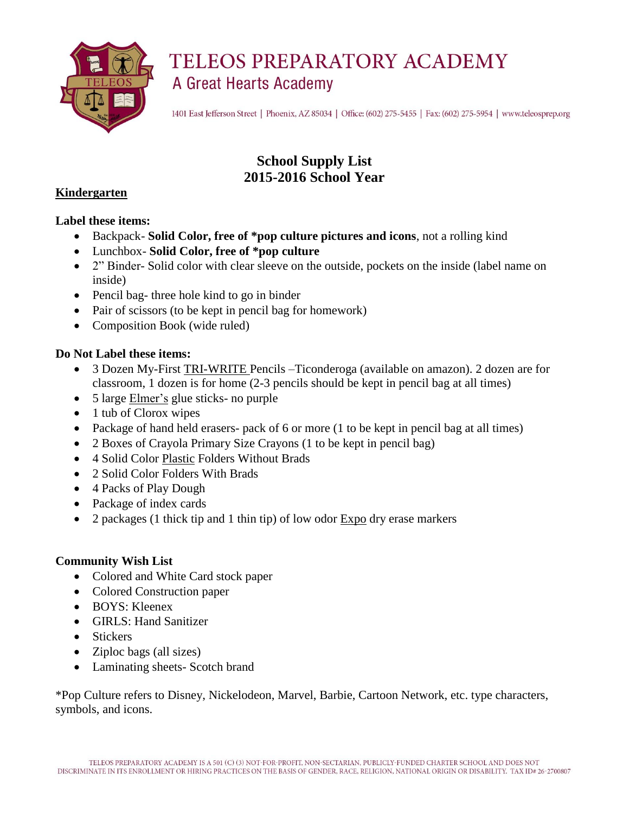

1401 East Jefferson Street | Phoenix, AZ 85034 | Office: (602) 275-5455 | Fax: (602) 275-5954 | www.teleosprep.org

## **School Supply List 2015-2016 School Year**

#### **Kindergarten**

#### **Label these items:**

- Backpack- **Solid Color, free of \*pop culture pictures and icons**, not a rolling kind
- Lunchbox- **Solid Color, free of \*pop culture**
- 2" Binder- Solid color with clear sleeve on the outside, pockets on the inside (label name on inside)
- Pencil bag- three hole kind to go in binder
- Pair of scissors (to be kept in pencil bag for homework)
- Composition Book (wide ruled)

#### **Do Not Label these items:**

- 3 Dozen My-First TRI-WRITE Pencils –Ticonderoga (available on amazon). 2 dozen are for classroom, 1 dozen is for home (2-3 pencils should be kept in pencil bag at all times)
- 5 large Elmer's glue sticks- no purple
- 1 tub of Clorox wipes
- Package of hand held erasers- pack of 6 or more (1 to be kept in pencil bag at all times)
- 2 Boxes of Crayola Primary Size Crayons (1 to be kept in pencil bag)
- 4 Solid Color Plastic Folders Without Brads
- 2 Solid Color Folders With Brads
- 4 Packs of Play Dough
- Package of index cards
- 2 packages (1 thick tip and 1 thin tip) of low odor Expo dry erase markers

#### **Community Wish List**

- Colored and White Card stock paper
- Colored Construction paper
- BOYS: Kleenex
- GIRLS: Hand Sanitizer
- Stickers
- Ziploc bags (all sizes)
- Laminating sheets- Scotch brand

\*Pop Culture refers to Disney, Nickelodeon, Marvel, Barbie, Cartoon Network, etc. type characters, symbols, and icons.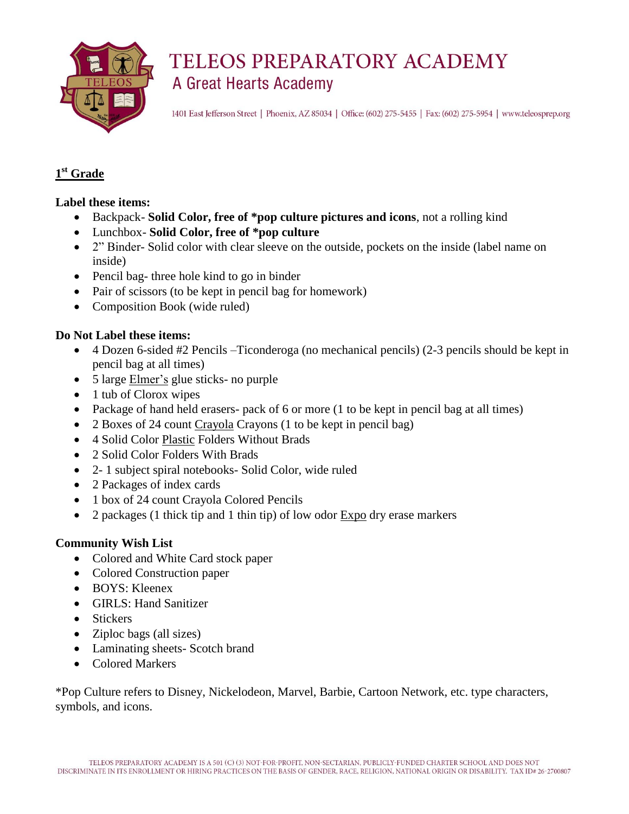

1401 East Jefferson Street | Phoenix, AZ 85034 | Office: (602) 275-5455 | Fax: (602) 275-5954 | www.teleosprep.org

### **1 st Grade**

#### **Label these items:**

- Backpack- **Solid Color, free of \*pop culture pictures and icons**, not a rolling kind
- Lunchbox- **Solid Color, free of \*pop culture**
- 2" Binder- Solid color with clear sleeve on the outside, pockets on the inside (label name on inside)
- Pencil bag- three hole kind to go in binder
- Pair of scissors (to be kept in pencil bag for homework)
- Composition Book (wide ruled)

#### **Do Not Label these items:**

- 4 Dozen 6-sided #2 Pencils –Ticonderoga (no mechanical pencils) (2-3 pencils should be kept in pencil bag at all times)
- 5 large Elmer's glue sticks- no purple
- 1 tub of Clorox wipes
- Package of hand held erasers- pack of 6 or more (1 to be kept in pencil bag at all times)
- 2 Boxes of 24 count Crayola Crayons (1 to be kept in pencil bag)
- 4 Solid Color Plastic Folders Without Brads
- 2 Solid Color Folders With Brads
- 2- 1 subject spiral notebooks- Solid Color, wide ruled
- 2 Packages of index cards
- 1 box of 24 count Crayola Colored Pencils
- 2 packages (1 thick tip and 1 thin tip) of low odor Expo dry erase markers

#### **Community Wish List**

- Colored and White Card stock paper
- Colored Construction paper
- BOYS: Kleenex
- GIRLS: Hand Sanitizer
- Stickers
- Ziploc bags (all sizes)
- Laminating sheets- Scotch brand
- Colored Markers

\*Pop Culture refers to Disney, Nickelodeon, Marvel, Barbie, Cartoon Network, etc. type characters, symbols, and icons.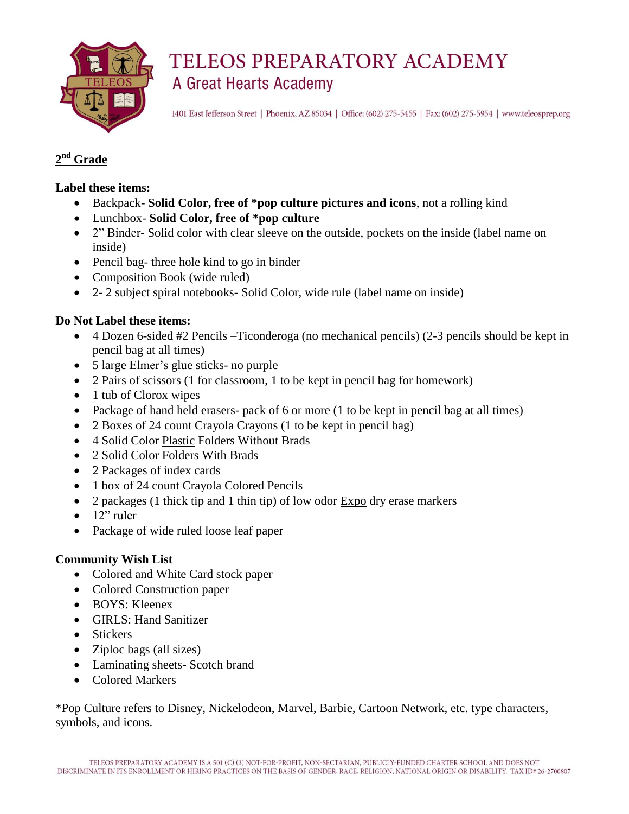

1401 East Jefferson Street | Phoenix, AZ 85034 | Office: (602) 275-5455 | Fax: (602) 275-5954 | www.teleosprep.org

### **2 nd Grade**

#### **Label these items:**

- Backpack- **Solid Color, free of \*pop culture pictures and icons**, not a rolling kind
- Lunchbox- **Solid Color, free of \*pop culture**
- 2" Binder- Solid color with clear sleeve on the outside, pockets on the inside (label name on inside)
- Pencil bag- three hole kind to go in binder
- Composition Book (wide ruled)
- 2- 2 subject spiral notebooks- Solid Color, wide rule (label name on inside)

### **Do Not Label these items:**

- 4 Dozen 6-sided #2 Pencils –Ticonderoga (no mechanical pencils) (2-3 pencils should be kept in pencil bag at all times)
- 5 large Elmer's glue sticks- no purple
- 2 Pairs of scissors (1 for classroom, 1 to be kept in pencil bag for homework)
- 1 tub of Clorox wipes
- Package of hand held erasers- pack of 6 or more (1 to be kept in pencil bag at all times)
- 2 Boxes of 24 count Crayola Crayons (1 to be kept in pencil bag)
- 4 Solid Color Plastic Folders Without Brads
- 2 Solid Color Folders With Brads
- 2 Packages of index cards
- 1 box of 24 count Crayola Colored Pencils
- 2 packages (1 thick tip and 1 thin tip) of low odor Expo dry erase markers
- $\bullet$  12" ruler
- Package of wide ruled loose leaf paper

### **Community Wish List**

- Colored and White Card stock paper
- Colored Construction paper
- BOYS: Kleenex
- GIRLS: Hand Sanitizer
- Stickers
- Ziploc bags (all sizes)
- Laminating sheets- Scotch brand
- Colored Markers

\*Pop Culture refers to Disney, Nickelodeon, Marvel, Barbie, Cartoon Network, etc. type characters, symbols, and icons.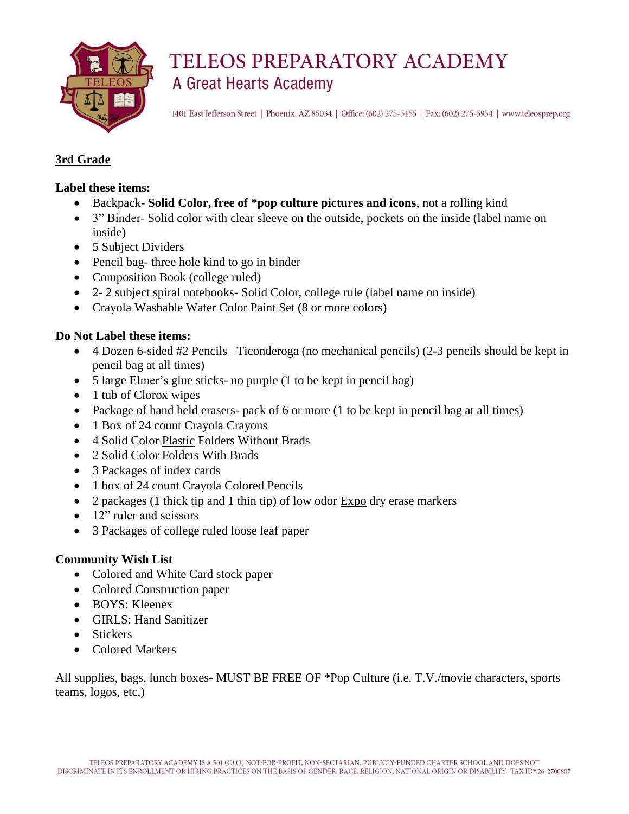

1401 East Jefferson Street | Phoenix, AZ 85034 | Office: (602) 275-5455 | Fax: (602) 275-5954 | www.teleosprep.org

#### **3rd Grade**

#### **Label these items:**

- Backpack- **Solid Color, free of \*pop culture pictures and icons**, not a rolling kind
- 3" Binder- Solid color with clear sleeve on the outside, pockets on the inside (label name on inside)
- 5 Subject Dividers
- Pencil bag- three hole kind to go in binder
- Composition Book (college ruled)
- 2- 2 subject spiral notebooks- Solid Color, college rule (label name on inside)
- Crayola Washable Water Color Paint Set (8 or more colors)

#### **Do Not Label these items:**

- 4 Dozen 6-sided #2 Pencils –Ticonderoga (no mechanical pencils) (2-3 pencils should be kept in pencil bag at all times)
- 5 large Elmer's glue sticks- no purple (1 to be kept in pencil bag)
- 1 tub of Clorox wipes
- Package of hand held erasers- pack of 6 or more (1 to be kept in pencil bag at all times)
- 1 Box of 24 count Crayola Crayons
- 4 Solid Color Plastic Folders Without Brads
- 2 Solid Color Folders With Brads
- 3 Packages of index cards
- 1 box of 24 count Crayola Colored Pencils
- 2 packages (1 thick tip and 1 thin tip) of low odor Expo dry erase markers
- 12" ruler and scissors
- 3 Packages of college ruled loose leaf paper

#### **Community Wish List**

- Colored and White Card stock paper
- Colored Construction paper
- BOYS: Kleenex
- GIRLS: Hand Sanitizer
- Stickers
- Colored Markers

All supplies, bags, lunch boxes- MUST BE FREE OF \*Pop Culture (i.e. T.V./movie characters, sports teams, logos, etc.)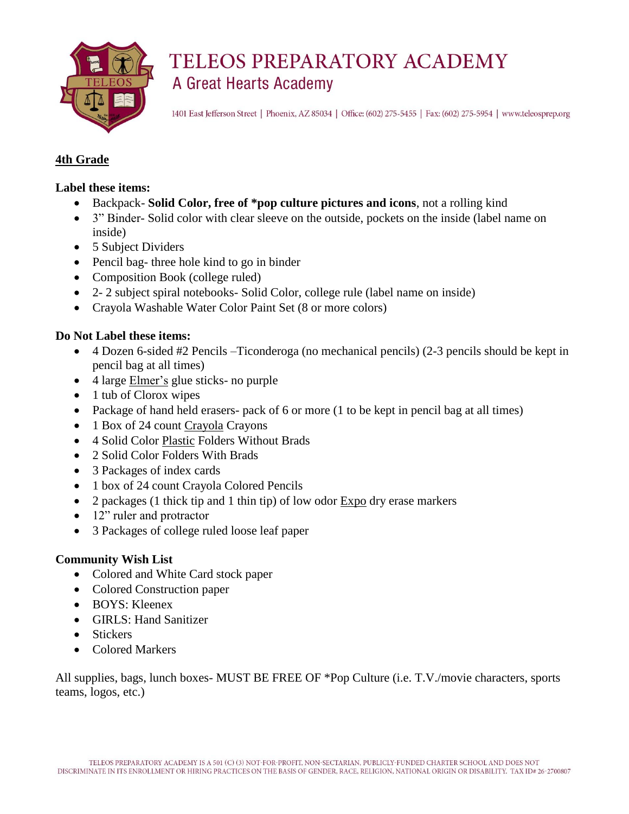

1401 East Jefferson Street | Phoenix, AZ 85034 | Office: (602) 275-5455 | Fax: (602) 275-5954 | www.teleosprep.org

#### **4th Grade**

#### **Label these items:**

- Backpack- **Solid Color, free of \*pop culture pictures and icons**, not a rolling kind
- 3" Binder- Solid color with clear sleeve on the outside, pockets on the inside (label name on inside)
- 5 Subject Dividers
- Pencil bag- three hole kind to go in binder
- Composition Book (college ruled)
- 2- 2 subject spiral notebooks- Solid Color, college rule (label name on inside)
- Crayola Washable Water Color Paint Set (8 or more colors)

#### **Do Not Label these items:**

- 4 Dozen 6-sided #2 Pencils –Ticonderoga (no mechanical pencils) (2-3 pencils should be kept in pencil bag at all times)
- 4 large Elmer's glue sticks- no purple
- 1 tub of Clorox wipes
- Package of hand held erasers- pack of 6 or more (1 to be kept in pencil bag at all times)
- 1 Box of 24 count Crayola Crayons
- 4 Solid Color Plastic Folders Without Brads
- 2 Solid Color Folders With Brads
- 3 Packages of index cards
- 1 box of 24 count Crayola Colored Pencils
- 2 packages (1 thick tip and 1 thin tip) of low odor Expo dry erase markers
- 12" ruler and protractor
- 3 Packages of college ruled loose leaf paper

#### **Community Wish List**

- Colored and White Card stock paper
- Colored Construction paper
- BOYS: Kleenex
- GIRLS: Hand Sanitizer
- Stickers
- Colored Markers

All supplies, bags, lunch boxes- MUST BE FREE OF \*Pop Culture (i.e. T.V./movie characters, sports teams, logos, etc.)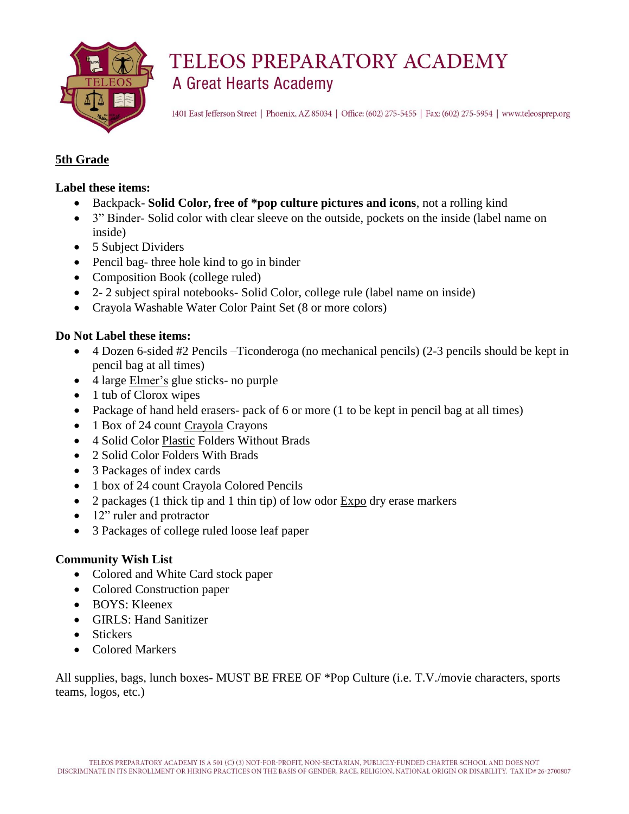

1401 East Jefferson Street | Phoenix, AZ 85034 | Office: (602) 275-5455 | Fax: (602) 275-5954 | www.teleosprep.org

### **5th Grade**

#### **Label these items:**

- Backpack- **Solid Color, free of \*pop culture pictures and icons**, not a rolling kind
- 3" Binder- Solid color with clear sleeve on the outside, pockets on the inside (label name on inside)
- 5 Subject Dividers
- Pencil bag- three hole kind to go in binder
- Composition Book (college ruled)
- 2- 2 subject spiral notebooks- Solid Color, college rule (label name on inside)
- Crayola Washable Water Color Paint Set (8 or more colors)

#### **Do Not Label these items:**

- 4 Dozen 6-sided #2 Pencils –Ticonderoga (no mechanical pencils) (2-3 pencils should be kept in pencil bag at all times)
- 4 large Elmer's glue sticks- no purple
- 1 tub of Clorox wipes
- Package of hand held erasers- pack of 6 or more (1 to be kept in pencil bag at all times)
- 1 Box of 24 count Crayola Crayons
- 4 Solid Color Plastic Folders Without Brads
- 2 Solid Color Folders With Brads
- 3 Packages of index cards
- 1 box of 24 count Crayola Colored Pencils
- 2 packages (1 thick tip and 1 thin tip) of low odor Expo dry erase markers
- 12" ruler and protractor
- 3 Packages of college ruled loose leaf paper

#### **Community Wish List**

- Colored and White Card stock paper
- Colored Construction paper
- BOYS: Kleenex
- GIRLS: Hand Sanitizer
- Stickers
- Colored Markers

All supplies, bags, lunch boxes- MUST BE FREE OF \*Pop Culture (i.e. T.V./movie characters, sports teams, logos, etc.)